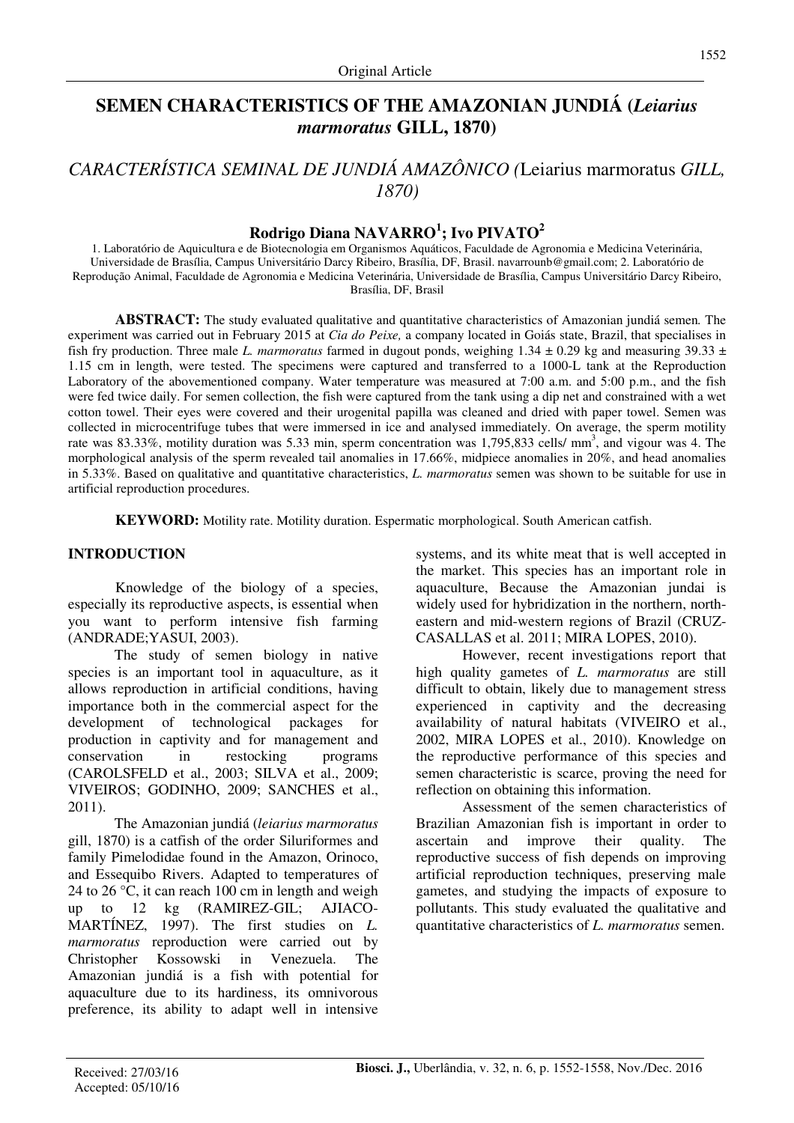# **SEMEN CHARACTERISTICS OF THE AMAZONIAN JUNDIÁ (***Leiarius marmoratus* **GILL, 1870)**

# *CARACTERÍSTICA SEMINAL DE JUNDIÁ AMAZÔNICO (*Leiarius marmoratus *GILL, 1870)*

# **Rodrigo Diana NAVARRO<sup>1</sup> ; Ivo PIVATO<sup>2</sup>**

1. Laboratório de Aquicultura e de Biotecnologia em Organismos Aquáticos, Faculdade de Agronomia e Medicina Veterinária, Universidade de Brasília, Campus Universitário Darcy Ribeiro, Brasília, DF, Brasil. navarrounb@gmail.com; 2. Laboratório de Reprodução Animal, Faculdade de Agronomia e Medicina Veterinária, Universidade de Brasília, Campus Universitário Darcy Ribeiro, Brasília, DF, Brasil

**ABSTRACT:** The study evaluated qualitative and quantitative characteristics of Amazonian jundiá semen*.* The experiment was carried out in February 2015 at *Cia do Peixe,* a company located in Goiás state, Brazil, that specialises in fish fry production. Three male *L. marmoratus* farmed in dugout ponds, weighing  $1.34 \pm 0.29$  kg and measuring  $39.33 \pm 0.39$ 1.15 cm in length, were tested. The specimens were captured and transferred to a 1000-L tank at the Reproduction Laboratory of the abovementioned company. Water temperature was measured at 7:00 a.m. and 5:00 p.m., and the fish were fed twice daily. For semen collection, the fish were captured from the tank using a dip net and constrained with a wet cotton towel. Their eyes were covered and their urogenital papilla was cleaned and dried with paper towel. Semen was collected in microcentrifuge tubes that were immersed in ice and analysed immediately. On average, the sperm motility rate was 83.33%, motility duration was 5.33 min, sperm concentration was 1,795,833 cells/ mm<sup>3</sup>, and vigour was 4. The morphological analysis of the sperm revealed tail anomalies in 17.66%, midpiece anomalies in 20%, and head anomalies in 5.33%. Based on qualitative and quantitative characteristics, *L. marmoratus* semen was shown to be suitable for use in artificial reproduction procedures.

**KEYWORD:** Motility rate. Motility duration. Espermatic morphological. South American catfish.

## **INTRODUCTION**

Knowledge of the biology of a species, especially its reproductive aspects, is essential when you want to perform intensive fish farming (ANDRADE;YASUI, 2003).

The study of semen biology in native species is an important tool in aquaculture, as it allows reproduction in artificial conditions, having importance both in the commercial aspect for the development of technological packages for production in captivity and for management and conservation in restocking programs (CAROLSFELD et al., 2003; SILVA et al., 2009; VIVEIROS; GODINHO, 2009; SANCHES et al., 2011).

The Amazonian jundiá (*leiarius marmoratus*  gill, 1870) is a catfish of the order Siluriformes and family Pimelodidae found in the Amazon, Orinoco, and Essequibo Rivers. Adapted to temperatures of 24 to 26 °C, it can reach 100 cm in length and weigh up to 12 kg (RAMIREZ-GIL; AJIACO-MARTÍNEZ, 1997). The first studies on *L. marmoratus* reproduction were carried out by Christopher Kossowski in Venezuela. The Amazonian jundiá is a fish with potential for aquaculture due to its hardiness, its omnivorous preference, its ability to adapt well in intensive systems, and its white meat that is well accepted in the market. This species has an important role in aquaculture, Because the Amazonian jundai is widely used for hybridization in the northern, northeastern and mid-western regions of Brazil (CRUZ-CASALLAS et al. 2011; MIRA LOPES, 2010).

However, recent investigations report that high quality gametes of *L. marmoratus* are still difficult to obtain, likely due to management stress experienced in captivity and the decreasing availability of natural habitats (VIVEIRO et al., 2002, MIRA LOPES et al., 2010). Knowledge on the reproductive performance of this species and semen characteristic is scarce, proving the need for reflection on obtaining this information.

Assessment of the semen characteristics of Brazilian Amazonian fish is important in order to ascertain and improve their quality. The reproductive success of fish depends on improving artificial reproduction techniques, preserving male gametes, and studying the impacts of exposure to pollutants. This study evaluated the qualitative and quantitative characteristics of *L. marmoratus* semen.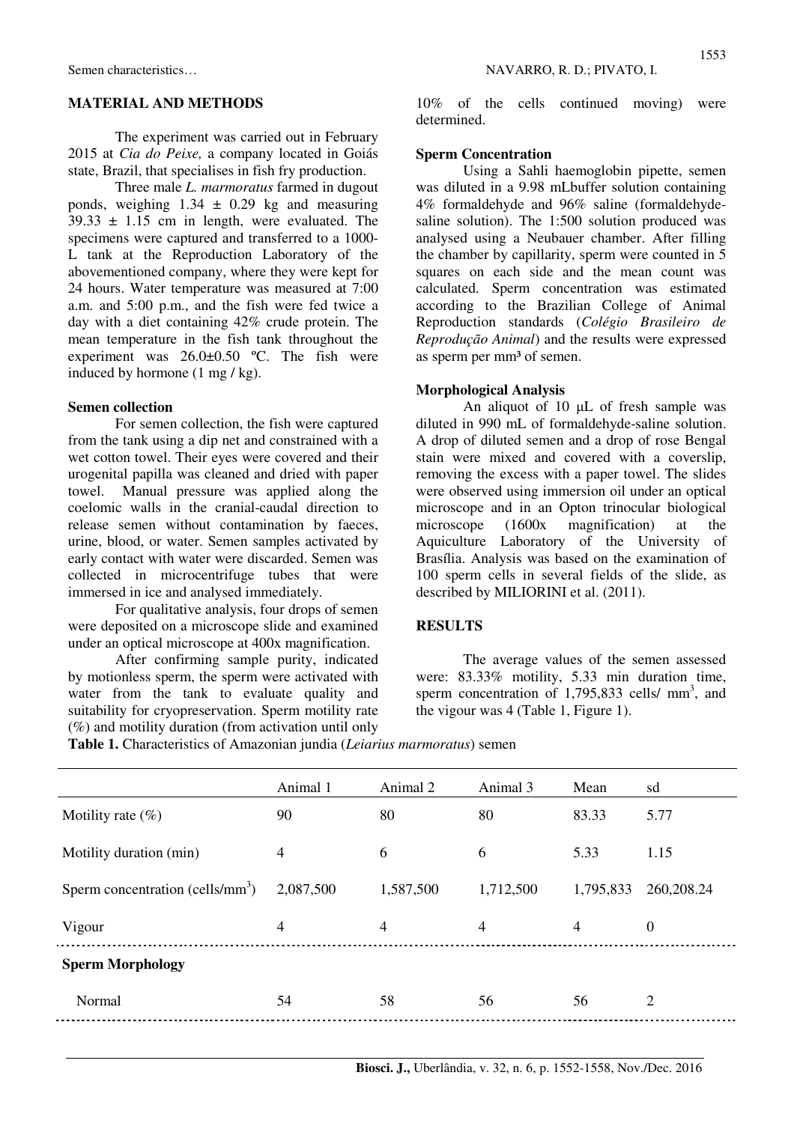## **MATERIAL AND METHODS**

The experiment was carried out in February 2015 at *Cia do Peixe,* a company located in Goiás state, Brazil, that specialises in fish fry production.

Three male *L. marmoratus* farmed in dugout ponds, weighing  $1.34 \pm 0.29$  kg and measuring  $39.33 \pm 1.15$  cm in length, were evaluated. The specimens were captured and transferred to a 1000- L tank at the Reproduction Laboratory of the abovementioned company, where they were kept for 24 hours. Water temperature was measured at 7:00 a.m. and 5:00 p.m., and the fish were fed twice a day with a diet containing 42% crude protein. The mean temperature in the fish tank throughout the experiment was 26.0±0.50 ºC. The fish were induced by hormone (1 mg / kg).

### **Semen collection**

For semen collection, the fish were captured from the tank using a dip net and constrained with a wet cotton towel. Their eyes were covered and their urogenital papilla was cleaned and dried with paper towel. Manual pressure was applied along the coelomic walls in the cranial-caudal direction to release semen without contamination by faeces, urine, blood, or water. Semen samples activated by early contact with water were discarded. Semen was collected in microcentrifuge tubes that were immersed in ice and analysed immediately.

For qualitative analysis, four drops of semen were deposited on a microscope slide and examined under an optical microscope at 400x magnification.

After confirming sample purity, indicated by motionless sperm, the sperm were activated with water from the tank to evaluate quality and suitability for cryopreservation. Sperm motility rate (%) and motility duration (from activation until only

10% of the cells continued moving) were determined.

## **Sperm Concentration**

Using a Sahli haemoglobin pipette, semen was diluted in a 9.98 mLbuffer solution containing 4% formaldehyde and 96% saline (formaldehydesaline solution). The 1:500 solution produced was analysed using a Neubauer chamber. After filling the chamber by capillarity, sperm were counted in 5 squares on each side and the mean count was calculated. Sperm concentration was estimated according to the Brazilian College of Animal Reproduction standards (*Colégio Brasileiro de Reprodução Animal*) and the results were expressed as sperm per mm³ of semen.

### **Morphological Analysis**

An aliquot of 10 µL of fresh sample was diluted in 990 mL of formaldehyde-saline solution. A drop of diluted semen and a drop of rose Bengal stain were mixed and covered with a coverslip, removing the excess with a paper towel. The slides were observed using immersion oil under an optical microscope and in an Opton trinocular biological microscope (1600x magnification) at the Aquiculture Laboratory of the University of Brasília. Analysis was based on the examination of 100 sperm cells in several fields of the slide, as described by MILIORINI et al. (2011).

## **RESULTS**

The average values of the semen assessed were: 83.33% motility, 5.33 min duration time, sperm concentration of  $1,795,833$  cells/ mm<sup>3</sup>, and the vigour was 4 (Table 1, Figure 1).

**Table 1.** Characteristics of Amazonian jundia (*Leiarius marmoratus*) semen

|                                     | Animal 1       | Animal 2       | Animal 3       | Mean      | sd             |
|-------------------------------------|----------------|----------------|----------------|-----------|----------------|
| Motility rate $(\%)$                | 90             | 80             | 80             | 83.33     | 5.77           |
| Motility duration (min)             | $\overline{4}$ | 6              | 6              | 5.33      | 1.15           |
| Sperm concentration (cells/ $mm3$ ) | 2,087,500      | 1,587,500      | 1,712,500      | 1,795,833 | 260,208.24     |
| Vigour                              | 4              | $\overline{4}$ | $\overline{4}$ | 4         | $\overline{0}$ |
| <b>Sperm Morphology</b>             |                |                |                |           |                |
| Normal                              | 54             | 58             | 56             | 56        | 2              |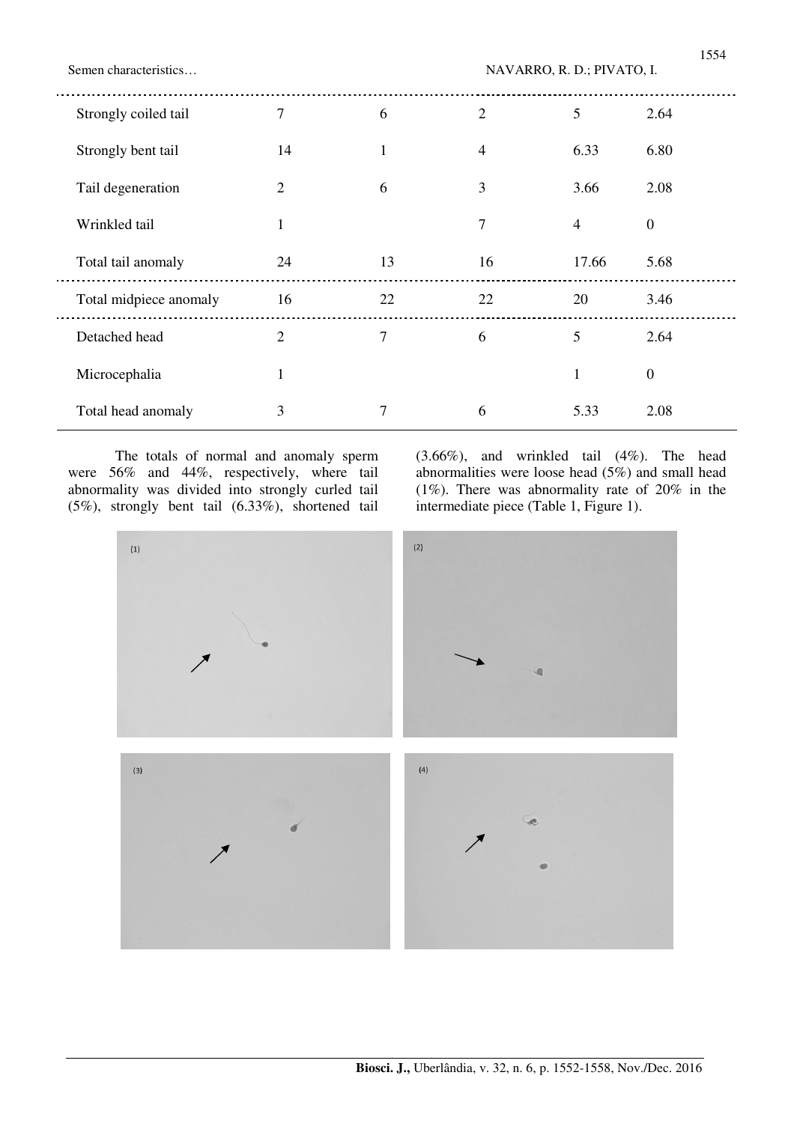Semen characteristics…  $NAVARRO, R. D.; PIVATO, I.$ 

| Strongly coiled tail   | $\tau$         | 6            | $\overline{2}$ | 5              | 2.64             |
|------------------------|----------------|--------------|----------------|----------------|------------------|
| Strongly bent tail     | 14             | $\mathbf{1}$ | $\overline{4}$ | 6.33           | 6.80             |
| Tail degeneration      | $\overline{2}$ | 6            | 3              | 3.66           | 2.08             |
| Wrinkled tail          | 1              |              | 7              | $\overline{4}$ | $\mathbf{0}$     |
| Total tail anomaly     | 24             | 13           | 16             | 17.66          | 5.68             |
| Total midpiece anomaly | 16             | 22           | 22             | 20             | 3.46             |
| Detached head          | 2              | 7            | 6              | 5              | 2.64             |
| Microcephalia          | 1              |              |                | 1              | $\boldsymbol{0}$ |
| Total head anomaly     | 3              | 7            | 6              | 5.33           | 2.08             |

The totals of normal and anomaly sperm were 56% and 44%, respectively, where tail abnormality was divided into strongly curled tail (5%), strongly bent tail (6.33%), shortened tail (3.66%), and wrinkled tail (4%). The head abnormalities were loose head (5%) and small head (1%). There was abnormality rate of 20% in the intermediate piece (Table 1, Figure 1).

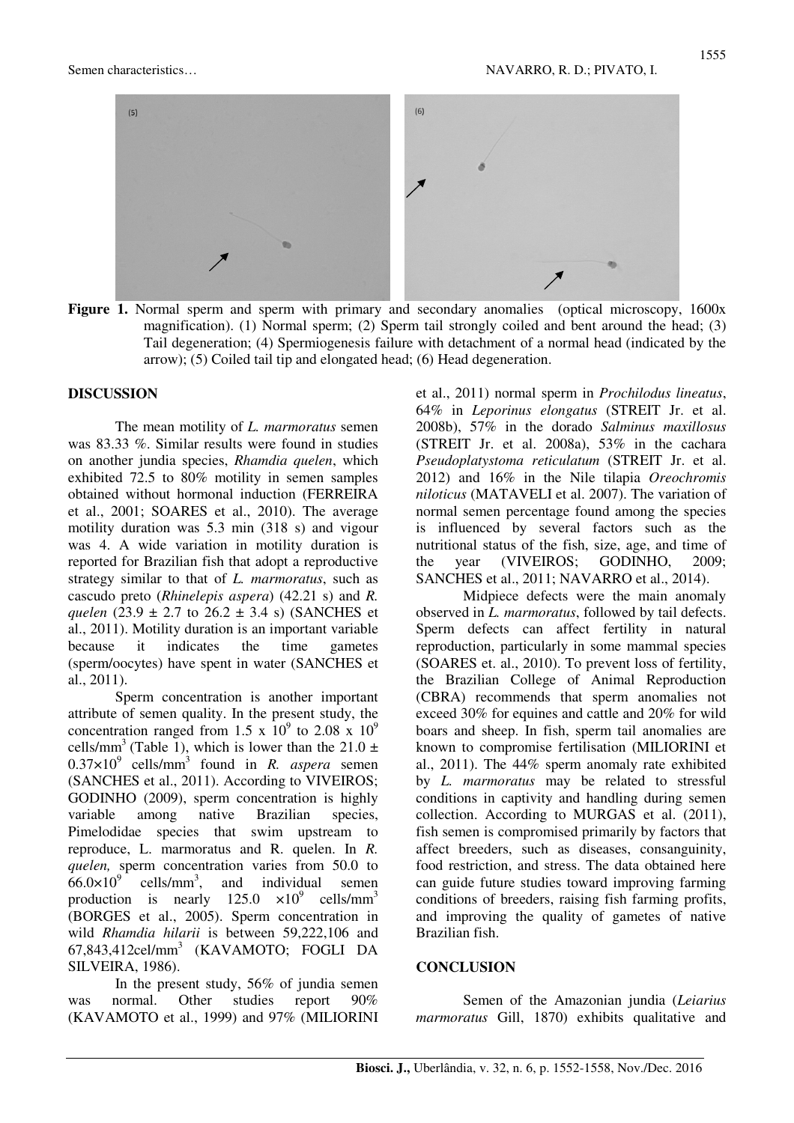

**Figure 1.** Normal sperm and sperm with primary and secondary anomalies (optical microscopy, 1600x magnification). (1) Normal sperm; (2) Sperm tail strongly coiled and bent around the head; (3) Tail degeneration; (4) Spermiogenesis failure with detachment of a normal head (indicated by the arrow); (5) Coiled tail tip and elongated head; (6) Head degeneration.

### **DISCUSSION**

The mean motility of *L. marmoratus* semen was 83.33 %. Similar results were found in studies on another jundia species, *Rhamdia quelen*, which exhibited 72.5 to 80% motility in semen samples obtained without hormonal induction (FERREIRA et al., 2001; SOARES et al., 2010). The average motility duration was 5.3 min (318 s) and vigour was 4. A wide variation in motility duration is reported for Brazilian fish that adopt a reproductive strategy similar to that of *L. marmoratus*, such as cascudo preto (*Rhinelepis aspera*) (42.21 s) and *R. quelen* (23.9  $\pm$  2.7 to 26.2  $\pm$  3.4 s) (SANCHES et al., 2011). Motility duration is an important variable because it indicates the time gametes (sperm/oocytes) have spent in water (SANCHES et al., 2011).

Sperm concentration is another important attribute of semen quality. In the present study, the concentration ranged from 1.5 x  $10^9$  to 2.08 x  $10^9$ cells/mm<sup>3</sup> (Table 1), which is lower than the 21.0  $\pm$  $0.37 \times 10^{9}$  cells/mm<sup>3</sup> found in *R. aspera* semen (SANCHES et al., 2011). According to VIVEIROS; GODINHO (2009), sperm concentration is highly variable among native Brazilian species, Pimelodidae species that swim upstream to reproduce, L. marmoratus and R. quelen. In *R. quelen,* sperm concentration varies from 50.0 to  $66.0 \times 10^{9}$  cells/mm<sup>3</sup> individual semen production is nearly  $125.0 \times 10^9$  cells/mm<sup>3</sup> (BORGES et al., 2005). Sperm concentration in wild *Rhamdia hilarii* is between 59,222,106 and 67,843,412cel/mm<sup>3</sup> (KAVAMOTO; FOGLI DA SILVEIRA, 1986).

In the present study, 56% of jundia semen was normal. Other studies report 90% (KAVAMOTO et al., 1999) and 97% (MILIORINI et al., 2011) normal sperm in *Prochilodus lineatus*, 64% in *Leporinus elongatus* (STREIT Jr. et al. 2008b), 57% in the dorado *Salminus maxillosus* (STREIT Jr. et al. 2008a), 53% in the cachara *Pseudoplatystoma reticulatum* (STREIT Jr. et al. 2012) and 16% in the Nile tilapia *Oreochromis niloticus* (MATAVELI et al. 2007). The variation of normal semen percentage found among the species is influenced by several factors such as the nutritional status of the fish, size, age, and time of the year (VIVEIROS; GODINHO, 2009; SANCHES et al., 2011; NAVARRO et al., 2014).

Midpiece defects were the main anomaly observed in *L. marmoratus*, followed by tail defects. Sperm defects can affect fertility in natural reproduction, particularly in some mammal species (SOARES et. al., 2010). To prevent loss of fertility, the Brazilian College of Animal Reproduction (CBRA) recommends that sperm anomalies not exceed 30% for equines and cattle and 20% for wild boars and sheep. In fish, sperm tail anomalies are known to compromise fertilisation (MILIORINI et al., 2011). The 44% sperm anomaly rate exhibited by *L. marmoratus* may be related to stressful conditions in captivity and handling during semen collection. According to MURGAS et al. (2011), fish semen is compromised primarily by factors that affect breeders, such as diseases, consanguinity, food restriction, and stress. The data obtained here can guide future studies toward improving farming conditions of breeders, raising fish farming profits, and improving the quality of gametes of native Brazilian fish.

### **CONCLUSION**

Semen of the Amazonian jundia (*Leiarius marmoratus* Gill, 1870) exhibits qualitative and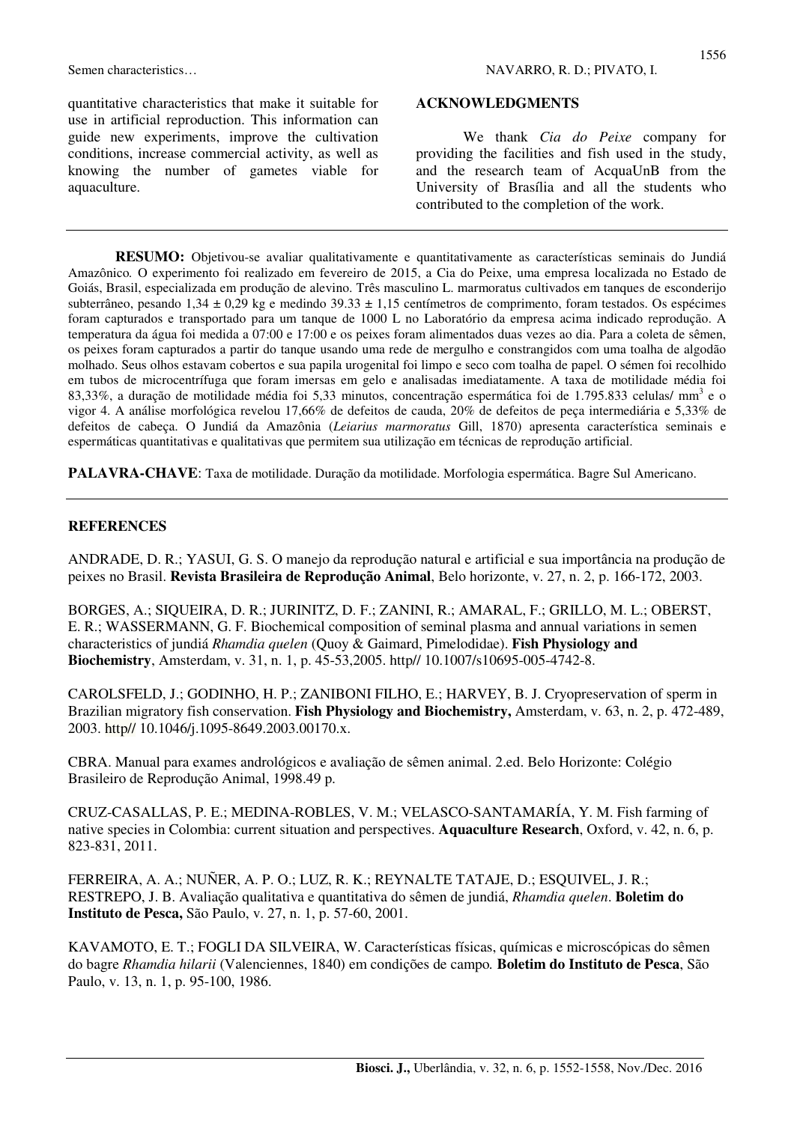## **ACKNOWLEDGMENTS**

We thank *Cia do Peixe* company for providing the facilities and fish used in the study, and the research team of AcquaUnB from the University of Brasília and all the students who contributed to the completion of the work.

**RESUMO:** Objetivou-se avaliar qualitativamente e quantitativamente as características seminais do Jundiá Amazônico*.* O experimento foi realizado em fevereiro de 2015, a Cia do Peixe, uma empresa localizada no Estado de Goiás, Brasil, especializada em produção de alevino. Três masculino L. marmoratus cultivados em tanques de esconderijo subterrâneo, pesando 1,34 ± 0,29 kg e medindo 39.33 ± 1,15 centímetros de comprimento, foram testados. Os espécimes foram capturados e transportado para um tanque de 1000 L no Laboratório da empresa acima indicado reprodução. A temperatura da água foi medida a 07:00 e 17:00 e os peixes foram alimentados duas vezes ao dia. Para a coleta de sêmen, os peixes foram capturados a partir do tanque usando uma rede de mergulho e constrangidos com uma toalha de algodão molhado. Seus olhos estavam cobertos e sua papila urogenital foi limpo e seco com toalha de papel. O sémen foi recolhido em tubos de microcentrífuga que foram imersas em gelo e analisadas imediatamente. A taxa de motilidade média foi  $83,33\%$ , a duração de motilidade média foi 5,33 minutos, concentração espermática foi de 1.795.833 celulas/ mm<sup>3</sup> e o vigor 4. A análise morfológica revelou 17,66% de defeitos de cauda, 20% de defeitos de peça intermediária e 5,33% de defeitos de cabeça. O Jundiá da Amazônia (*Leiarius marmoratus* Gill, 1870) apresenta característica seminais e espermáticas quantitativas e qualitativas que permitem sua utilização em técnicas de reprodução artificial.

**PALAVRA-CHAVE**: Taxa de motilidade. Duração da motilidade. Morfologia espermática. Bagre Sul Americano.

## **REFERENCES**

ANDRADE, D. R.; YASUI, G. S. O manejo da reprodução natural e artificial e sua importância na produção de peixes no Brasil. **Revista Brasileira de Reprodução Animal**, Belo horizonte, v. 27, n. 2, p. 166-172, 2003.

BORGES, A.; SIQUEIRA, D. R.; JURINITZ, D. F.; ZANINI, R.; AMARAL, F.; GRILLO, M. L.; OBERST, E. R.; WASSERMANN, G. F. Biochemical composition of seminal plasma and annual variations in semen characteristics of jundiá *Rhamdia quelen* (Quoy & Gaimard, Pimelodidae). **Fish Physiology and Biochemistry**, Amsterdam, v. 31, n. 1, p. 45-53,2005. http// 10.1007/s10695-005-4742-8.

CAROLSFELD, J.; GODINHO, H. P.; ZANIBONI FILHO, E.; HARVEY, B. J. Cryopreservation of sperm in Brazilian migratory fish conservation. **Fish Physiology and Biochemistry,** Amsterdam, v. 63, n. 2, p. 472-489, 2003. http// 10.1046/j.1095-8649.2003.00170.x.

CBRA. Manual para exames andrológicos e avaliação de sêmen animal. 2.ed. Belo Horizonte: Colégio Brasileiro de Reprodução Animal, 1998.49 p.

CRUZ-CASALLAS, P. E.; MEDINA-ROBLES, V. M.; VELASCO-SANTAMARÍA, Y. M. Fish farming of native species in Colombia: current situation and perspectives. **Aquaculture Research**, Oxford, v. 42, n. 6, p. 823-831, 2011.

FERREIRA, A. A.; NUÑER, A. P. O.; LUZ, R. K.; REYNALTE TATAJE, D.; ESQUIVEL, J. R.; RESTREPO, J. B. Avaliação qualitativa e quantitativa do sêmen de jundiá, *Rhamdia quelen*. **Boletim do Instituto de Pesca,** São Paulo, v. 27, n. 1, p. 57-60, 2001.

KAVAMOTO, E. T.; FOGLI DA SILVEIRA, W. Características físicas, químicas e microscópicas do sêmen do bagre *Rhamdia hilarii* (Valenciennes, 1840) em condições de campo*.* **Boletim do Instituto de Pesca**, São Paulo, v. 13, n. 1, p. 95-100, 1986.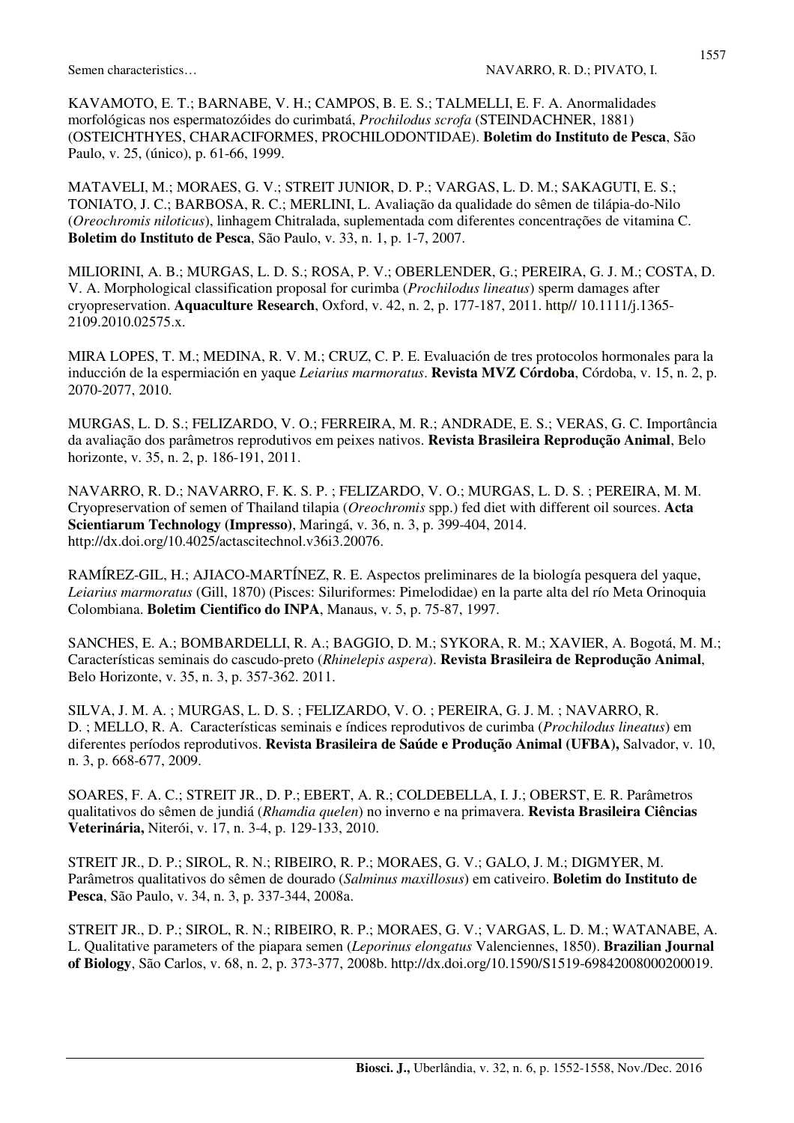KAVAMOTO, E. T.; BARNABE, V. H.; CAMPOS, B. E. S.; TALMELLI, E. F. A. Anormalidades morfológicas nos espermatozóides do curimbatá, *Prochilodus scrofa* (STEINDACHNER, 1881) (OSTEICHTHYES, CHARACIFORMES, PROCHILODONTIDAE). **Boletim do Instituto de Pesca**, São Paulo, v. 25, (único), p. 61-66, 1999.

MATAVELI, M.; MORAES, G. V.; STREIT JUNIOR, D. P.; VARGAS, L. D. M.; SAKAGUTI, E. S.; TONIATO, J. C.; BARBOSA, R. C.; MERLINI, L. Avaliação da qualidade do sêmen de tilápia-do-Nilo (*Oreochromis niloticus*), linhagem Chitralada, suplementada com diferentes concentrações de vitamina C. **Boletim do Instituto de Pesca**, São Paulo, v. 33, n. 1, p. 1-7, 2007.

MILIORINI, A. B.; MURGAS, L. D. S.; ROSA, P. V.; OBERLENDER, G.; PEREIRA, G. J. M.; COSTA, D. V. A. Morphological classification proposal for curimba (*Prochilodus lineatus*) sperm damages after cryopreservation. **Aquaculture Research**, Oxford, v. 42, n. 2, p. 177-187, 2011. http// 10.1111/j.1365- 2109.2010.02575.x.

MIRA LOPES, T. M.; MEDINA, R. V. M.; CRUZ, C. P. E. Evaluación de tres protocolos hormonales para la inducción de la espermiación en yaque *Leiarius marmoratus*. **Revista MVZ Córdoba**, Córdoba, v. 15, n. 2, p. 2070-2077, 2010.

MURGAS, L. D. S.; FELIZARDO, V. O.; FERREIRA, M. R.; ANDRADE, E. S.; VERAS, G. C. Importância da avaliação dos parâmetros reprodutivos em peixes nativos. **Revista Brasileira Reprodução Animal**, Belo horizonte, v. 35, n. 2, p. 186-191, 2011.

NAVARRO, R. D.; NAVARRO, F. K. S. P. ; FELIZARDO, V. O.; MURGAS, L. D. S. ; PEREIRA, M. M. Cryopreservation of semen of Thailand tilapia (*Oreochromis* spp.) fed diet with different oil sources. **Acta Scientiarum Technology (Impresso)**, Maringá, v. 36, n. 3, p. 399-404, 2014. http://dx.doi.org/10.4025/actascitechnol.v36i3.20076.

RAMÍREZ-GIL, H.; AJIACO-MARTÍNEZ, R. E. Aspectos preliminares de la biología pesquera del yaque, *Leiarius marmoratus* (Gill, 1870) (Pisces: Siluriformes: Pimelodidae) en la parte alta del río Meta Orinoquia Colombiana. **Boletim Cientifico do INPA**, Manaus, v. 5, p. 75-87, 1997.

SANCHES, E. A.; BOMBARDELLI, R. A.; BAGGIO, D. M.; SYKORA, R. M.; XAVIER, A. Bogotá, M. M.; Características seminais do cascudo-preto (*Rhinelepis aspera*). **Revista Brasileira de Reprodução Animal**, Belo Horizonte, v. 35, n. 3, p. 357-362. 2011.

SILVA, J. M. A. ; MURGAS, L. D. S. ; FELIZARDO, V. O. ; PEREIRA, G. J. M. ; NAVARRO, R. D. ; MELLO, R. A. Características seminais e índices reprodutivos de curimba (*Prochilodus lineatus*) em diferentes períodos reprodutivos. **Revista Brasileira de Saúde e Produção Animal (UFBA),** Salvador, v. 10, n. 3, p. 668-677, 2009.

SOARES, F. A. C.; STREIT JR., D. P.; EBERT, A. R.; COLDEBELLA, I. J.; OBERST, E. R. Parâmetros qualitativos do sêmen de jundiá (*Rhamdia quelen*) no inverno e na primavera. **Revista Brasileira Ciências Veterinária,** Niterói, v. 17, n. 3-4, p. 129-133, 2010.

STREIT JR., D. P.; SIROL, R. N.; RIBEIRO, R. P.; MORAES, G. V.; GALO, J. M.; DIGMYER, M. Parâmetros qualitativos do sêmen de dourado (*Salminus maxillosus*) em cativeiro. **Boletim do Instituto de Pesca**, São Paulo, v. 34, n. 3, p. 337-344, 2008a.

STREIT JR., D. P.; SIROL, R. N.; RIBEIRO, R. P.; MORAES, G. V.; VARGAS, L. D. M.; WATANABE, A. L. Qualitative parameters of the piapara semen (*Leporinus elongatus* Valenciennes, 1850). **Brazilian Journal of Biology**, São Carlos, v. 68, n. 2, p. 373-377, 2008b. http://dx.doi.org/10.1590/S1519-69842008000200019.